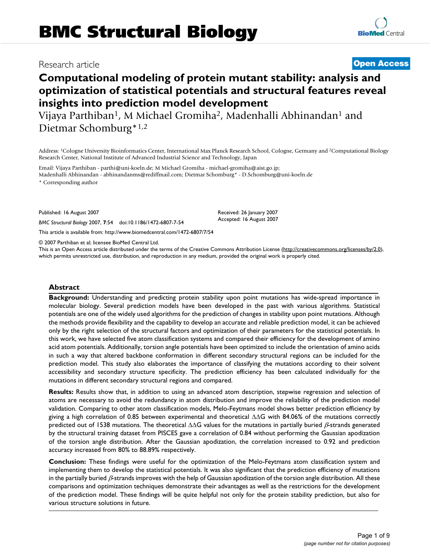# Research article **Contract Contract Contract Contract Contract Contract Contract Contract Contract Contract Contract Contract Contract Contract Contract Contract Contract Contract Contract Contract Contract Contract Contra**

# **Computational modeling of protein mutant stability: analysis and optimization of statistical potentials and structural features reveal insights into prediction model development**

Vijaya Parthiban<sup>1</sup>, M Michael Gromiha<sup>2</sup>, Madenhalli Abhinandan<sup>1</sup> and Dietmar Schomburg\*1,2

Address: <sup>1</sup>Cologne University Bioinformatics Center, International Max Planck Research School, Cologne, Germany and <sup>2</sup>Computational Biology Research Center, National Institute of Advanced Industrial Science and Technology, Japan

Email: Vijaya Parthiban - parthi@uni-koeln.de; M Michael Gromiha - michael-gromiha@aist.go.jp; Madenhalli Abhinandan - abhinandanms@rediffmail.com; Dietmar Schomburg\* - D.Schomburg@uni-koeln.de

\* Corresponding author

Published: 16 August 2007

*BMC Structural Biology* 2007, **7**:54 doi:10.1186/1472-6807-7-54

[This article is available from: http://www.biomedcentral.com/1472-6807/7/54](http://www.biomedcentral.com/1472-6807/7/54)

© 2007 Parthiban et al; licensee BioMed Central Ltd.

This is an Open Access article distributed under the terms of the Creative Commons Attribution License [\(http://creativecommons.org/licenses/by/2.0\)](http://creativecommons.org/licenses/by/2.0), which permits unrestricted use, distribution, and reproduction in any medium, provided the original work is properly cited.

Received: 26 January 2007 Accepted: 16 August 2007

#### **Abstract**

**Background:** Understanding and predicting protein stability upon point mutations has wide-spread importance in molecular biology. Several prediction models have been developed in the past with various algorithms. Statistical potentials are one of the widely used algorithms for the prediction of changes in stability upon point mutations. Although the methods provide flexibility and the capability to develop an accurate and reliable prediction model, it can be achieved only by the right selection of the structural factors and optimization of their parameters for the statistical potentials. In this work, we have selected five atom classification systems and compared their efficiency for the development of amino acid atom potentials. Additionally, torsion angle potentials have been optimized to include the orientation of amino acids in such a way that altered backbone conformation in different secondary structural regions can be included for the prediction model. This study also elaborates the importance of classifying the mutations according to their solvent accessibility and secondary structure specificity. The prediction efficiency has been calculated individually for the mutations in different secondary structural regions and compared.

**Results:** Results show that, in addition to using an advanced atom description, stepwise regression and selection of atoms are necessary to avoid the redundancy in atom distribution and improve the reliability of the prediction model validation. Comparing to other atom classification models, Melo-Feytmans model shows better prediction efficiency by giving a high correlation of 0.85 between experimental and theoretical ∆∆G with 84.06% of the mutations correctly predicted out of 1538 mutations. The theoretical ∆∆G values for the mutations in partially buried β-strands generated by the structural training dataset from PISCES gave a correlation of 0.84 without performing the Gaussian apodization of the torsion angle distribution. After the Gaussian apodization, the correlation increased to 0.92 and prediction accuracy increased from 80% to 88.89% respectively.

**Conclusion:** These findings were useful for the optimization of the Melo-Feytmans atom classification system and implementing them to develop the statistical potentials. It was also significant that the prediction efficiency of mutations in the partially buried  $\beta$ -strands improves with the help of Gaussian apodization of the torsion angle distribution. All these comparisons and optimization techniques demonstrate their advantages as well as the restrictions for the development of the prediction model. These findings will be quite helpful not only for the protein stability prediction, but also for various structure solutions in future.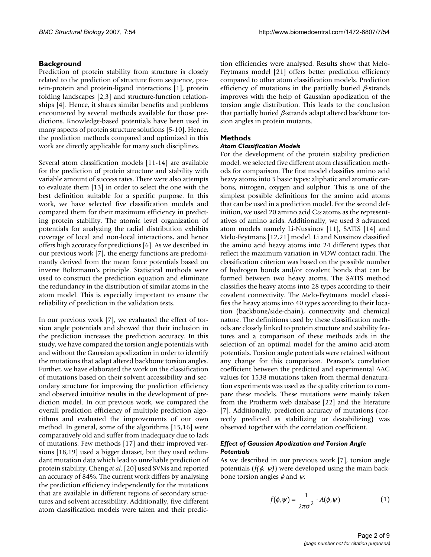## **Background**

Prediction of protein stability from structure is closely related to the prediction of structure from sequence, protein-protein and protein-ligand interactions [1], protein folding landscapes [2,3] and structure-function relationships [4]. Hence, it shares similar benefits and problems encountered by several methods available for those predictions. Knowledge-based potentials have been used in many aspects of protein structure solutions [5-10]. Hence, the prediction methods compared and optimized in this work are directly applicable for many such disciplines.

Several atom classification models [11-14] are available for the prediction of protein structure and stability with variable amount of success rates. There were also attempts to evaluate them [13] in order to select the one with the best definition suitable for a specific purpose. In this work, we have selected five classification models and compared them for their maximum efficiency in predicting protein stability. The atomic level organization of potentials for analyzing the radial distribution exhibits coverage of local and non-local interactions, and hence offers high accuracy for predictions [6]. As we described in our previous work [7], the energy functions are predominantly derived from the mean force potentials based on inverse Boltzmann's principle. Statistical methods were used to construct the prediction equation and eliminate the redundancy in the distribution of similar atoms in the atom model. This is especially important to ensure the reliability of prediction in the validation tests.

In our previous work [7], we evaluated the effect of torsion angle potentials and showed that their inclusion in the prediction increases the prediction accuracy. In this study, we have compared the torsion angle potentials with and without the Gaussian apodization in order to identify the mutations that adapt altered backbone torsion angles. Further, we have elaborated the work on the classification of mutations based on their solvent accessibility and secondary structure for improving the prediction efficiency and observed intuitive results in the development of prediction model. In our previous work, we compared the overall prediction efficiency of multiple prediction algorithms and evaluated the improvements of our own method. In general, some of the algorithms [15,16] were comparatively old and suffer from inadequacy due to lack of mutations. Few methods [17] and their improved versions [18,19] used a bigger dataset, but they used redundant mutation data which lead to unreliable prediction of protein stability. Cheng *et al*. [20] used SVMs and reported an accuracy of 84%. The current work differs by analysing the prediction efficiency independently for the mutations that are available in different regions of secondary structures and solvent accessibility. Additionally, five different atom classification models were taken and their prediction efficiencies were analysed. Results show that Melo-Feytmans model [21] offers better prediction efficiency compared to other atom classification models. Prediction efficiency of mutations in the partially buried  $\beta$ -strands improves with the help of Gaussian apodization of the torsion angle distribution. This leads to the conclusion that partially buried β-strands adapt altered backbone torsion angles in protein mutants.

#### **Methods**

#### *Atom Classification Models*

For the development of the protein stability prediction model, we selected five different atom classification methods for comparison. The first model classifies amino acid heavy atoms into 5 basic types: aliphatic and aromatic carbons, nitrogen, oxygen and sulphur. This is one of the simplest possible definitions for the amino acid atoms that can be used in a prediction model. For the second definition, we used 20 amino acid  $C\alpha$  atoms as the representatives of amino acids. Additionally, we used 3 advanced atom models namely Li-Nussinov [11], SATIS [14] and Melo-Feytmans [12,21] model. Li and Nussinov classified the amino acid heavy atoms into 24 different types that reflect the maximum variation in VDW contact radii. The classification criterion was based on the possible number of hydrogen bonds and/or covalent bonds that can be formed between two heavy atoms. The SATIS method classifies the heavy atoms into 28 types according to their covalent connectivity. The Melo-Feytmans model classifies the heavy atoms into 40 types according to their location (backbone/side-chain), connectivity and chemical nature. The definitions used by these classification methods are closely linked to protein structure and stability features and a comparison of these methods aids in the selection of an optimal model for the amino acid-atom potentials. Torsion angle potentials were retained without any change for this comparison. Pearson's correlation coefficient between the predicted and experimental ∆∆G values for 1538 mutations taken from thermal denaturation experiments was used as the quality criterion to compare these models. These mutations were mainly taken from the Protherm web database [22] and the literature [7]. Additionally, prediction accuracy of mutations (correctly predicted as stabilizing or destabilizing) was observed together with the correlation coefficient.

#### *Effect of Gaussian Apodization and Torsion Angle Potentials*

As we described in our previous work [7], torsion angle potentials  $(f(\phi, \psi))$  were developed using the main backbone torsion angles  $\phi$  and  $\psi$ .

$$
f(\phi,\psi) = \frac{1}{2\pi\sigma^2} \cdot A(\phi,\psi) \tag{1}
$$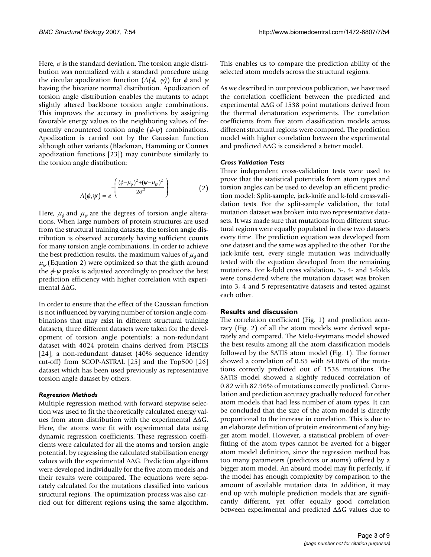Here,  $\sigma$  is the standard deviation. The torsion angle distribution was normalized with a standard procedure using the circular apodization function  $(A(\phi, \psi))$  for  $\phi$  and  $\psi$ having the bivariate normal distribution. Apodization of torsion angle distribution enables the mutants to adapt slightly altered backbone torsion angle combinations. This improves the accuracy in predictions by assigning favorable energy values to the neighboring values of frequently encountered torsion angle  $(\phi \psi)$  combinations. Apodization is carried out by the Gaussian function although other variants (Blackman, Hamming or Connes apodization functions [23]) may contribute similarly to the torsion angle distribution:

$$
A(\phi,\psi) = e^{-\left(\frac{(\phi-\mu_{\phi})^2 + (\psi-\mu_{\psi})^2}{2\sigma^2}\right)}
$$
(2)

Here,  $\mu_{\phi}$  and  $\mu_{\psi}$  are the degrees of torsion angle alterations. When large numbers of protein structures are used from the structural training datasets, the torsion angle distribution is observed accurately having sufficient counts for many torsion angle combinations. In order to achieve the best prediction results, the maximum values of  $\mu_\phi$  and  $\mu_\psi$  (Equation 2) were optimized so that the girth around the  $\phi \psi$  peaks is adjusted accordingly to produce the best prediction efficiency with higher correlation with experimental ∆∆G.

In order to ensure that the effect of the Gaussian function is not influenced by varying number of torsion angle combinations that may exist in different structural training datasets, three different datasets were taken for the development of torsion angle potentials: a non-redundant dataset with 4024 protein chains derived from PISCES [24], a non-redundant dataset (40% sequence identity cut-off) from SCOP-ASTRAL [25] and the Top500 [26] dataset which has been used previously as representative torsion angle dataset by others.

#### *Regression Methods*

Multiple regression method with forward stepwise selection was used to fit the theoretically calculated energy values from atom distribution with the experimental ∆∆G. Here, the atoms were fit with experimental data using dynamic regression coefficients. These regression coefficients were calculated for all the atoms and torsion angle potential, by regressing the calculated stabilisation energy values with the experimental ∆∆G. Prediction algorithms were developed individually for the five atom models and their results were compared. The equations were separately calculated for the mutations classified into various structural regions. The optimization process was also carried out for different regions using the same algorithm.

This enables us to compare the prediction ability of the selected atom models across the structural regions.

As we described in our previous publication, we have used the correlation coefficient between the predicted and experimental ∆∆G of 1538 point mutations derived from the thermal denaturation experiments. The correlation coefficients from five atom classification models across different structural regions were compared. The prediction model with higher correlation between the experimental and predicted ∆∆G is considered a better model.

#### *Cross Validation Tests*

Three independent cross-validation tests were used to prove that the statistical potentials from atom types and torsion angles can be used to develop an efficient prediction model: Split-sample, jack-knife and k-fold cross-validation tests. For the split-sample validation, the total mutation dataset was broken into two representative datasets. It was made sure that mutations from different structural regions were equally populated in these two datasets every time. The prediction equation was developed from one dataset and the same was applied to the other. For the jack-knife test, every single mutation was individually tested with the equation developed from the remaining mutations. For k-fold cross validation, 3-, 4- and 5-folds were considered where the mutation dataset was broken into 3, 4 and 5 representative datasets and tested against each other.

#### **Results and discussion**

The correlation coefficient (Fig. 1) and prediction accuracy (Fig. 2) of all the atom models were derived separately and compared. The Melo-Feytmans model showed the best results among all the atom classification models followed by the SATIS atom model (Fig. 1). The former showed a correlation of 0.85 with 84.06% of the mutations correctly predicted out of 1538 mutations. The SATIS model showed a slightly reduced correlation of 0.82 with 82.96% of mutations correctly predicted. Correlation and prediction accuracy gradually reduced for other atom models that had less number of atom types. It can be concluded that the size of the atom model is directly proportional to the increase in correlation. This is due to an elaborate definition of protein environment of any bigger atom model. However, a statistical problem of overfitting of the atom types cannot be averted for a bigger atom model definition, since the regression method has too many parameters (predictors or atoms) offered by a bigger atom model. An absurd model may fit perfectly, if the model has enough complexity by comparison to the amount of available mutation data. In addition, it may end up with multiple prediction models that are significantly different, yet offer equally good correlation between experimental and predicted ∆∆G values due to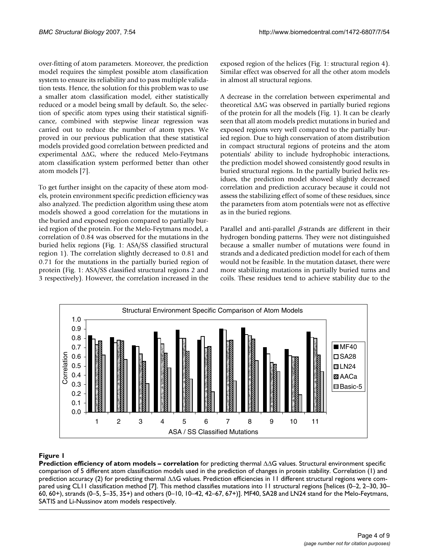over-fitting of atom parameters. Moreover, the prediction model requires the simplest possible atom classification system to ensure its reliability and to pass multiple validation tests. Hence, the solution for this problem was to use a smaller atom classification model, either statistically reduced or a model being small by default. So, the selection of specific atom types using their statistical significance, combined with stepwise linear regression was carried out to reduce the number of atom types. We proved in our previous publication that these statistical models provided good correlation between predicted and experimental ∆∆G, where the reduced Melo-Feytmans atom classification system performed better than other atom models [7].

To get further insight on the capacity of these atom models, protein environment specific prediction efficiency was also analyzed. The prediction algorithm using these atom models showed a good correlation for the mutations in the buried and exposed region compared to partially buried region of the protein. For the Melo-Feytmans model, a correlation of 0.84 was observed for the mutations in the buried helix regions (Fig. 1: ASA/SS classified structural region 1). The correlation slightly decreased to 0.81 and 0.71 for the mutations in the partially buried region of protein (Fig. 1: ASA/SS classified structural regions 2 and 3 respectively). However, the correlation increased in the exposed region of the helices (Fig. 1: structural region 4). Similar effect was observed for all the other atom models in almost all structural regions.

A decrease in the correlation between experimental and theoretical ∆∆G was observed in partially buried regions of the protein for all the models (Fig. 1). It can be clearly seen that all atom models predict mutations in buried and exposed regions very well compared to the partially buried region. Due to high conservation of atom distribution in compact structural regions of proteins and the atom potentials' ability to include hydrophobic interactions, the prediction model showed consistently good results in buried structural regions. In the partially buried helix residues, the prediction model showed slightly decreased correlation and prediction accuracy because it could not assess the stabilizing effect of some of these residues, since the parameters from atom potentials were not as effective as in the buried regions.

Parallel and anti-parallel  $\beta$ -strands are different in their hydrogen bonding patterns. They were not distinguished because a smaller number of mutations were found in strands and a dedicated prediction model for each of them would not be feasible. In the mutation dataset, there were more stabilizing mutations in partially buried turns and coils. These residues tend to achieve stability due to the



# Prediction efficiency of Figure 1 atom models – correlation for prediction for predicting thermal  $\sim$

**Prediction efficiency of atom models – correlation** for predicting thermal ∆∆G values. Structural environment specific comparison of 5 different atom classification models used in the prediction of changes in protein stability. Correlation (1) and prediction accuracy (2) for predicting thermal ∆∆G values. Prediction efficiencies in 11 different structural regions were compared using CL11 classification method [7]. This method classifies mutations into 11 structural regions [helices (0–2, 2–30, 30– 60, 60+), strands (0–5, 5–35, 35+) and others (0–10, 10–42, 42–67, 67+)]. MF40, SA28 and LN24 stand for the Melo-Feytmans, SATIS and Li-Nussinov atom models respectively.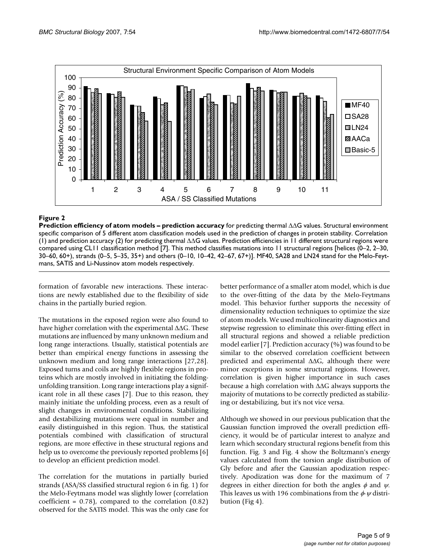

#### Prediction efficiency of atom **Figure 2** models – prediction accuracy for predicting thermal ∆∆G values

**Prediction efficiency of atom models – prediction accuracy** for predicting thermal ∆∆G values. Structural environment specific comparison of 5 different atom classification models used in the prediction of changes in protein stability. Correlation (1) and prediction accuracy (2) for predicting thermal ∆∆G values. Prediction efficiencies in 11 different structural regions were compared using CL11 classification method [7]. This method classifies mutations into 11 structural regions [helices (0–2, 2–30, 30–60, 60+), strands (0–5, 5–35, 35+) and others (0–10, 10–42, 42–67, 67+)]. MF40, SA28 and LN24 stand for the Melo-Feytmans, SATIS and Li-Nussinov atom models respectively.

formation of favorable new interactions. These interactions are newly established due to the flexibility of side chains in the partially buried region.

The mutations in the exposed region were also found to have higher correlation with the experimental ∆∆G. These mutations are influenced by many unknown medium and long range interactions. Usually, statistical potentials are better than empirical energy functions in assessing the unknown medium and long range interactions [27,28]. Exposed turns and coils are highly flexible regions in proteins which are mostly involved in initiating the foldingunfolding transition. Long range interactions play a significant role in all these cases [7]. Due to this reason, they mainly initiate the unfolding process, even as a result of slight changes in environmental conditions. Stabilizing and destabilizing mutations were equal in number and easily distinguished in this region. Thus, the statistical potentials combined with classification of structural regions, are more effective in these structural regions and help us to overcome the previously reported problems [6] to develop an efficient prediction model.

The correlation for the mutations in partially buried strands (ASA/SS classified structural region 6 in fig. 1) for the Melo-Feytmans model was slightly lower (correlation coefficient =  $0.78$ ), compared to the correlation  $(0.82)$ observed for the SATIS model. This was the only case for better performance of a smaller atom model, which is due to the over-fitting of the data by the Melo-Feytmans model. This behavior further supports the necessity of dimensionality reduction techniques to optimize the size of atom models. We used multicolinearity diagnostics and stepwise regression to eliminate this over-fitting effect in all structural regions and showed a reliable prediction model earlier [7]. Prediction accuracy (%) was found to be similar to the observed correlation coefficient between predicted and experimental ∆∆G, although there were minor exceptions in some structural regions. However, correlation is given higher importance in such cases because a high correlation with ∆∆G always supports the majority of mutations to be correctly predicted as stabilizing or destabilizing, but it's not vice versa.

Although we showed in our previous publication that the Gaussian function improved the overall prediction efficiency, it would be of particular interest to analyze and learn which secondary structural regions benefit from this function. Fig. 3 and Fig. 4 show the Boltzmann's energy values calculated from the torsion angle distribution of Gly before and after the Gaussian apodization respectively. Apodization was done for the maximum of 7 degrees in either direction for both the angles  $\phi$  and  $\psi$ . This leaves us with 196 combinations from the  $\phi \psi$  distribution (Fig 4).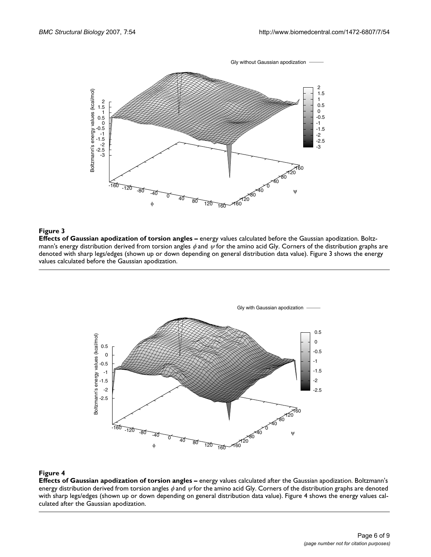

## Effects of Gaussian apodization of to **Figure 3** rsion angles – energy values calculated before the Gaussian apodization

**Effects of Gaussian apodization of torsion angles –** energy values calculated before the Gaussian apodization. Boltzmann's energy distribution derived from torsion angles  $\phi$  and  $\psi$  for the amino acid Gly. Corners of the distribution graphs are denoted with sharp legs/edges (shown up or down depending on general distribution data value). Figure 3 shows the energy values calculated before the Gaussian apodization.



#### Effects of Gaussian apodization of to **Figure 4** rsion angles – energy values calculated after the Gaussian apodization

**Effects of Gaussian apodization of torsion angles –** energy values calculated after the Gaussian apodization. Boltzmann's energy distribution derived from torsion angles  $\phi$  and  $\psi$  for the amino acid Gly. Corners of the distribution graphs are denoted with sharp legs/edges (shown up or down depending on general distribution data value). Figure 4 shows the energy values calculated after the Gaussian apodization.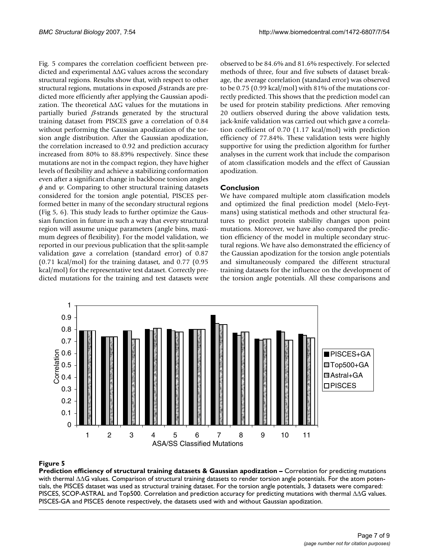Fig. 5 compares the correlation coefficient between predicted and experimental ∆∆G values across the secondary structural regions. Results show that, with respect to other structural regions, mutations in exposed  $\beta$ -strands are predicted more efficiently after applying the Gaussian apodization. The theoretical ∆∆G values for the mutations in partially buried  $\beta$ -strands generated by the structural training dataset from PISCES gave a correlation of 0.84 without performing the Gaussian apodization of the torsion angle distribution. After the Gaussian apodization, the correlation increased to 0.92 and prediction accuracy increased from 80% to 88.89% respectively. Since these mutations are not in the compact region, they have higher levels of flexibility and achieve a stabilizing conformation even after a significant change in backbone torsion angles  $\phi$  and  $\psi$ . Comparing to other structural training datasets considered for the torsion angle potential, PISCES performed better in many of the secondary structural regions (Fig 5, 6). This study leads to further optimize the Gaussian function in future in such a way that every structural region will assume unique parameters (angle bins, maximum degrees of flexibility). For the model validation, we reported in our previous publication that the split-sample validation gave a correlation (standard error) of 0.87 (0.71 kcal/mol) for the training dataset, and 0.77 (0.95 kcal/mol) for the representative test dataset. Correctly predicted mutations for the training and test datasets were observed to be 84.6% and 81.6% respectively. For selected methods of three, four and five subsets of dataset breakage, the average correlation (standard error) was observed to be 0.75 (0.99 kcal/mol) with 81% of the mutations correctly predicted. This shows that the prediction model can be used for protein stability predictions. After removing 20 outliers observed during the above validation tests, jack-knife validation was carried out which gave a correlation coefficient of 0.70 (1.17 kcal/mol) with prediction efficiency of 77.84%. These validation tests were highly supportive for using the prediction algorithm for further analyses in the current work that include the comparison of atom classification models and the effect of Gaussian apodization.

# **Conclusion**

We have compared multiple atom classification models and optimized the final prediction model (Melo-Feytmans) using statistical methods and other structural features to predict protein stability changes upon point mutations. Moreover, we have also compared the prediction efficiency of the model in multiple secondary structural regions. We have also demonstrated the efficiency of the Gaussian apodization for the torsion angle potentials and simultaneously compared the different structural training datasets for the influence on the development of the torsion angle potentials. All these comparisons and



## ∆∆Prediction efficiency of structura **Figure 5** G values l training datasets & Gaussian apodization – Correlation for predicting mutations with thermal

**Prediction efficiency of structural training datasets & Gaussian apodization - Correlation for predicting mutations** with thermal ∆∆G values. Comparison of structural training datasets to render torsion angle potentials. For the atom potentials, the PISCES dataset was used as structural training dataset. For the torsion angle potentials, 3 datasets were compared: PISCES, SCOP-ASTRAL and Top500. Correlation and prediction accuracy for predicting mutations with thermal ∆∆G values. PISCES-GA and PISCES denote respectively, the datasets used with and without Gaussian apodization.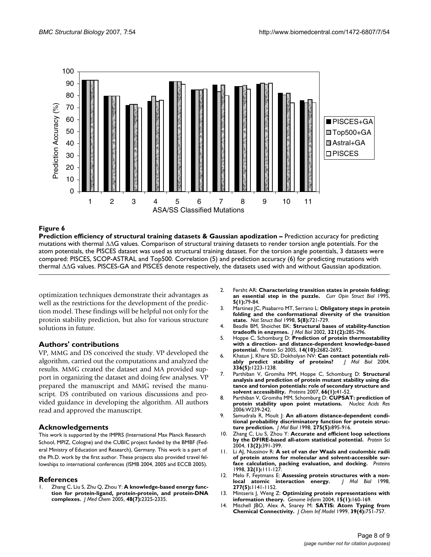

#### thermal Prediction efficiency of structural training **Figure 6**∆∆G values datasets & Gaussian apodization – Prediction accuracy for predicting mutations with

**Prediction efficiency of structural training datasets & Gaussian apodization –** Prediction accuracy for predicting mutations with thermal ∆∆G values. Comparison of structural training datasets to render torsion angle potentials. For the atom potentials, the PISCES dataset was used as structural training dataset. For the torsion angle potentials, 3 datasets were compared: PISCES, SCOP-ASTRAL and Top500. Correlation (5) and prediction accuracy (6) for predicting mutations with thermal ∆∆G values. PISCES-GA and PISCES denote respectively, the datasets used with and without Gaussian apodization.

optimization techniques demonstrate their advantages as well as the restrictions for the development of the prediction model. These findings will be helpful not only for the protein stability prediction, but also for various structure solutions in future.

# **Authors' contributions**

VP, MMG and DS conceived the study. VP developed the algorithm, carried out the computations and analyzed the results. MMG created the dataset and MA provided support in organizing the dataset and doing few analyses. VP prepared the manuscript and MMG revised the manuscript. DS contributed on various discussions and provided guidance in developing the algorithm. All authors read and approved the manuscript.

#### **Acknowledgements**

This work is supported by the IMPRS (International Max Planck Research School, MPIZ, Cologne) and the CUBIC project funded by the BMBF (Federal Ministry of Education and Research), Germany. This work is a part of the Ph.D. work by the first author. These projects also provided travel fellowships to international conferences (ISMB 2004, 2005 and ECCB 2005).

#### **References**

Zhang C, Liu S, Zhu Q, Zhou Y: [A knowledge-based energy func](http://www.ncbi.nlm.nih.gov/entrez/query.fcgi?cmd=Retrieve&db=PubMed&dopt=Abstract&list_uids=15801826)**[tion for protein-ligand, protein-protein, and protein-DNA](http://www.ncbi.nlm.nih.gov/entrez/query.fcgi?cmd=Retrieve&db=PubMed&dopt=Abstract&list_uids=15801826) [complexes.](http://www.ncbi.nlm.nih.gov/entrez/query.fcgi?cmd=Retrieve&db=PubMed&dopt=Abstract&list_uids=15801826)** *J Med Chem* 2005, **48(7):**2325-2335.

- 2. Fersht AR: **[Characterizing transition states in protein folding:](http://www.ncbi.nlm.nih.gov/entrez/query.fcgi?cmd=Retrieve&db=PubMed&dopt=Abstract&list_uids=7773750) [an essential step in the puzzle.](http://www.ncbi.nlm.nih.gov/entrez/query.fcgi?cmd=Retrieve&db=PubMed&dopt=Abstract&list_uids=7773750)** *Curr Opin Struct Biol* 1995, **5(1):**79-84.
- 3. Martinez JC, Pisabarro MT, Serrano L: **[Obligatory steps in protein](http://www.ncbi.nlm.nih.gov/entrez/query.fcgi?cmd=Retrieve&db=PubMed&dopt=Abstract&list_uids=9699637) [folding and the conformational diversity of the transition](http://www.ncbi.nlm.nih.gov/entrez/query.fcgi?cmd=Retrieve&db=PubMed&dopt=Abstract&list_uids=9699637) [state.](http://www.ncbi.nlm.nih.gov/entrez/query.fcgi?cmd=Retrieve&db=PubMed&dopt=Abstract&list_uids=9699637)** *Nat Struct Biol* 1998, **5(8):**721-729.
- 4. Beadle BM, Shoichet BK: **[Structural bases of stability-function](http://www.ncbi.nlm.nih.gov/entrez/query.fcgi?cmd=Retrieve&db=PubMed&dopt=Abstract&list_uids=12144785) [tradeoffs in enzymes.](http://www.ncbi.nlm.nih.gov/entrez/query.fcgi?cmd=Retrieve&db=PubMed&dopt=Abstract&list_uids=12144785)** *J Mol Biol* 2002, **321(2):**285-296.
- 5. Hoppe C, Schomburg D: **[Prediction of protein thermostability](http://www.ncbi.nlm.nih.gov/entrez/query.fcgi?cmd=Retrieve&db=PubMed&dopt=Abstract&list_uids=16155198) [with a direction- and distance-dependent knowledge-based](http://www.ncbi.nlm.nih.gov/entrez/query.fcgi?cmd=Retrieve&db=PubMed&dopt=Abstract&list_uids=16155198) [potential.](http://www.ncbi.nlm.nih.gov/entrez/query.fcgi?cmd=Retrieve&db=PubMed&dopt=Abstract&list_uids=16155198)** *Protein Sci* 2005, **14(10):**2682-2692.
- 6. Khatun J, Khare SD, Dokholyan NV: **Can contact potentials reli-**<br>ably predict stability of proteins? | Mol Biol 2004, [ably predict stability of proteins?](http://www.ncbi.nlm.nih.gov/entrez/query.fcgi?cmd=Retrieve&db=PubMed&dopt=Abstract&list_uids=15037081) **336(5):**1223-1238.
- 7. Parthiban V, Gromiha MM, Hoppe C, Schomburg D: **[Structural](http://www.ncbi.nlm.nih.gov/entrez/query.fcgi?cmd=Retrieve&db=PubMed&dopt=Abstract&list_uids=17068801) analysis and prediction of protein mutant stability using dis[tance and torsion potentials: role of secondary structure and](http://www.ncbi.nlm.nih.gov/entrez/query.fcgi?cmd=Retrieve&db=PubMed&dopt=Abstract&list_uids=17068801) [solvent accessibility.](http://www.ncbi.nlm.nih.gov/entrez/query.fcgi?cmd=Retrieve&db=PubMed&dopt=Abstract&list_uids=17068801)** *Proteins* 2007, **66(1):**41-52.
- 8. Parthiban V, Gromiha MM, Schomburg D: **[CUPSAT: prediction of](http://www.ncbi.nlm.nih.gov/entrez/query.fcgi?cmd=Retrieve&db=PubMed&dopt=Abstract&list_uids=16845001) [protein stability upon point mutations.](http://www.ncbi.nlm.nih.gov/entrez/query.fcgi?cmd=Retrieve&db=PubMed&dopt=Abstract&list_uids=16845001)** *Nucleic Acids Res* 2006:W239-242.
- 9. Samudrala R, Moult |: [An all-atom distance-dependent condi](http://www.ncbi.nlm.nih.gov/entrez/query.fcgi?cmd=Retrieve&db=PubMed&dopt=Abstract&list_uids=9480776)**[tional probability discriminatory function for protein struc](http://www.ncbi.nlm.nih.gov/entrez/query.fcgi?cmd=Retrieve&db=PubMed&dopt=Abstract&list_uids=9480776)[ture prediction.](http://www.ncbi.nlm.nih.gov/entrez/query.fcgi?cmd=Retrieve&db=PubMed&dopt=Abstract&list_uids=9480776)** *J Mol Biol* 1998, **275(5):**895-916.
- 10. Zhang C, Liu S, Zhou Y: **[Accurate and efficient loop selections](http://www.ncbi.nlm.nih.gov/entrez/query.fcgi?cmd=Retrieve&db=PubMed&dopt=Abstract&list_uids=14739324) [by the DFIRE-based all-atom statistical potential.](http://www.ncbi.nlm.nih.gov/entrez/query.fcgi?cmd=Retrieve&db=PubMed&dopt=Abstract&list_uids=14739324)** *Protein Sci* 2004, **13(2):**391-399.
- 11. Li AJ, Nussinov R: **[A set of van der Waals and coulombic radii](http://www.ncbi.nlm.nih.gov/entrez/query.fcgi?cmd=Retrieve&db=PubMed&dopt=Abstract&list_uids=9672047) [of protein atoms for molecular and solvent-accessible sur](http://www.ncbi.nlm.nih.gov/entrez/query.fcgi?cmd=Retrieve&db=PubMed&dopt=Abstract&list_uids=9672047)[face calculation, packing evaluation, and docking.](http://www.ncbi.nlm.nih.gov/entrez/query.fcgi?cmd=Retrieve&db=PubMed&dopt=Abstract&list_uids=9672047)** *Proteins* 1998, **32(1):**111-127.
- 12. Melo F, Feytmans E: **[Assessing protein structures with a non](http://www.ncbi.nlm.nih.gov/entrez/query.fcgi?cmd=Retrieve&db=PubMed&dopt=Abstract&list_uids=9571028)[local atomic interaction energy.](http://www.ncbi.nlm.nih.gov/entrez/query.fcgi?cmd=Retrieve&db=PubMed&dopt=Abstract&list_uids=9571028)** *J Mol Biol* 1998, **277(5):**1141-1152.
- 13. Mintseris J, Weng Z: **[Optimizing protein representations with](http://www.ncbi.nlm.nih.gov/entrez/query.fcgi?cmd=Retrieve&db=PubMed&dopt=Abstract&list_uids=15712119) [information theory.](http://www.ncbi.nlm.nih.gov/entrez/query.fcgi?cmd=Retrieve&db=PubMed&dopt=Abstract&list_uids=15712119)** *Genome Inform* 2004, **15(1):**160-169.
- 14. Mitchell JBO, Alex A, Snarey M: **SATIS: Atom Typing from Chemical Connectivity.** *J Chem Inf Model* 1999, **39(4):**751-757.